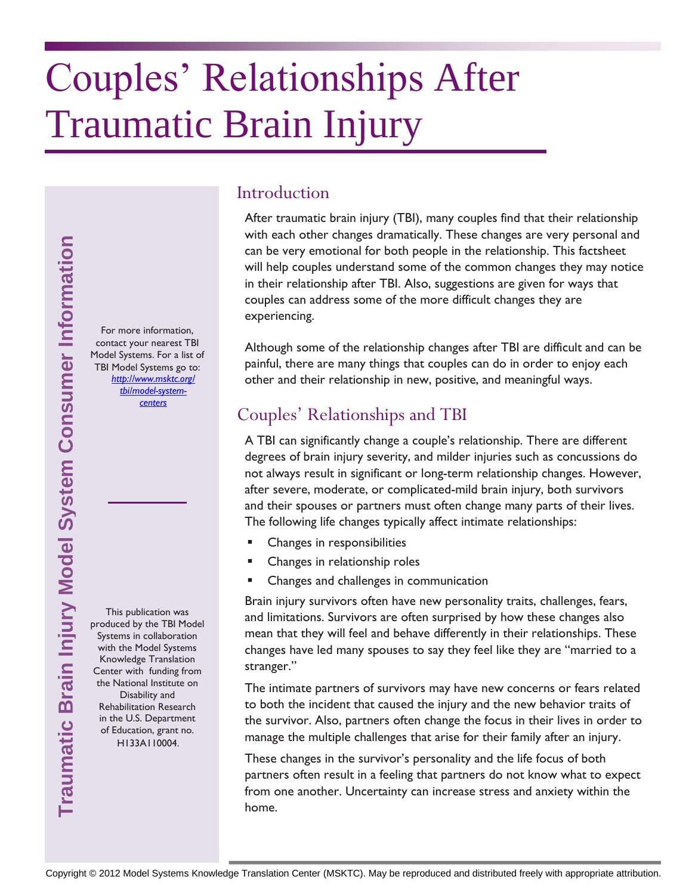# Couples' Relationships After Traumatic Brain Injury

# Traumatic Brain Injury Model System Consumer Information **Traumatic Brain Injury Model System Consumer Information**

For more information, contact your nearest TBI Model Systems. For a list of TBI Model Systems go to: *[http://www.msktc.org/](http://www.msktc.org/tbi/model-system-centers) [tbi/model-system](http://www.msktc.org/tbi/model-system-centers)[centers](http://www.msktc.org/tbi/model-system-centers)* 

This publication was produced by the TBI Model Systems in collaboration with the Model Systems Knowledge Translation Center with funding from the National Institute on Disability and Rehabilitation Research in the U.S. Department of Education, grant no. H133A110004.

### Introduction

After traumatic brain injury (TBI), many couples find that their relationship with each other changes dramatically. These changes are very personal and can be very emotional for both people in the relationship. This factsheet will help couples understand some of the common changes they may notice in their relationship after TBI. Also, suggestions are given for ways that couples can address some of the more difficult changes they are experiencing.

Although some of the relationship changes after TBI are difficult and can be painful, there are many things that couples can do in order to enjoy each other and their relationship in new, positive, and meaningful ways.

### Couples' Relationships and TBI

A TBI can significantly change a couple's relationship. There are different degrees of brain injury severity, and milder injuries such as concussions do not always result in significant or long-term relationship changes. However, after severe, moderate, or complicated-mild brain injury, both survivors and their spouses or partners must often change many parts of their lives. The following life changes typically affect intimate relationships:

- Changes in responsibilities
- Changes in relationship roles
- Changes and challenges in communication

Brain injury survivors often have new personality traits, challenges, fears, and limitations. Survivors are often surprised by how these changes also mean that they will feel and behave differently in their relationships. These changes have led many spouses to say they feel like they are "married to a stranger."

The intimate partners of survivors may have new concerns or fears related to both the incident that caused the injury and the new behavior traits of the survivor. Also, partners often change the focus in their lives in order to manage the multiple challenges that arise for their family after an injury.

These changes in the survivor's personality and the life focus of both partners often result in a feeling that partners do not know what to expect from one another. Uncertainty can increase stress and anxiety within the home.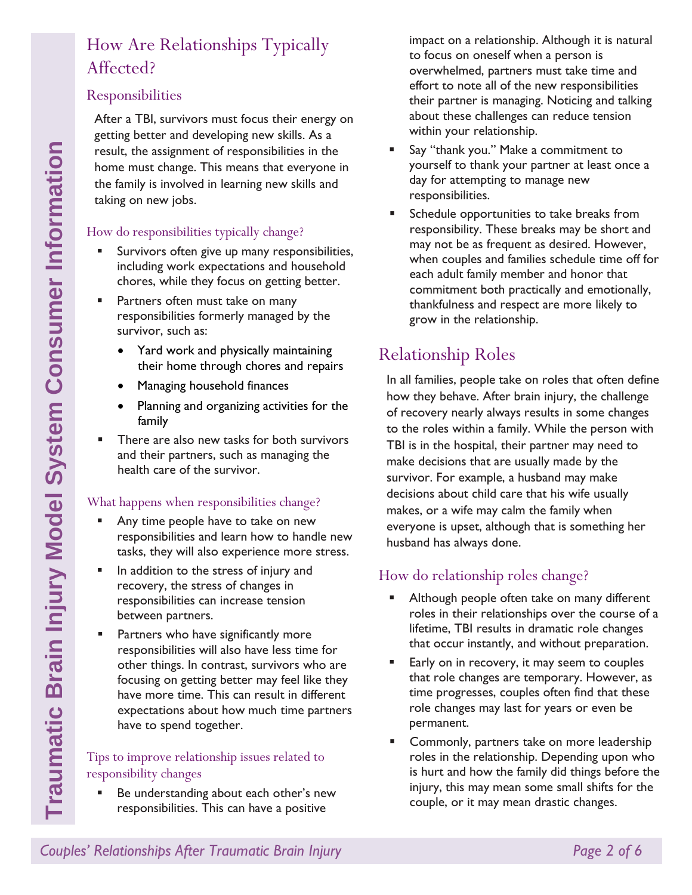### How Are Relationships Typically Affected?

### Responsibilities

After a TBI, survivors must focus their energy on getting better and developing new skills. As a result, the assignment of responsibilities in the home must change. This means that everyone in the family is involved in learning new skills and taking on new jobs.

### How do responsibilities typically change?

- Survivors often give up many responsibilities, including work expectations and household chores, while they focus on getting better.
- **Partners often must take on many** responsibilities formerly managed by the survivor, such as:
	- Yard work and physically maintaining their home through chores and repairs
	- Managing household finances
	- Planning and organizing activities for the family
- **There are also new tasks for both survivors** and their partners, such as managing the health care of the survivor.

### What happens when responsibilities change?

- Any time people have to take on new responsibilities and learn how to handle new tasks, they will also experience more stress.
- **IF** In addition to the stress of injury and recovery, the stress of changes in responsibilities can increase tension between partners.
- **Partners who have significantly more** responsibilities will also have less time for other things. In contrast, survivors who are focusing on getting better may feel like they have more time. This can result in different expectations about how much time partners have to spend together.

### Tips to improve relationship issues related to responsibility changes

Be understanding about each other's new responsibilities. This can have a positive

impact on a relationship. Although it is natural to focus on oneself when a person is overwhelmed, partners must take time and effort to note all of the new responsibilities their partner is managing. Noticing and talking about these challenges can reduce tension within your relationship.

- Say "thank you." Make a commitment to yourself to thank your partner at least once a day for attempting to manage new responsibilities.
- Schedule opportunities to take breaks from responsibility. These breaks may be short and may not be as frequent as desired. However, when couples and families schedule time off for each adult family member and honor that commitment both practically and emotionally, thankfulness and respect are more likely to grow in the relationship.

### Relationship Roles

In all families, people take on roles that often define how they behave. After brain injury, the challenge of recovery nearly always results in some changes to the roles within a family. While the person with TBI is in the hospital, their partner may need to make decisions that are usually made by the survivor. For example, a husband may make decisions about child care that his wife usually makes, or a wife may calm the family when everyone is upset, although that is something her husband has always done.

### How do relationship roles change?

- **Although people often take on many different** roles in their relationships over the course of a lifetime, TBI results in dramatic role changes that occur instantly, and without preparation.
- Early on in recovery, it may seem to couples that role changes are temporary. However, as time progresses, couples often find that these role changes may last for years or even be permanent.
- Commonly, partners take on more leadership roles in the relationship. Depending upon who is hurt and how the family did things before the injury, this may mean some small shifts for the couple, or it may mean drastic changes.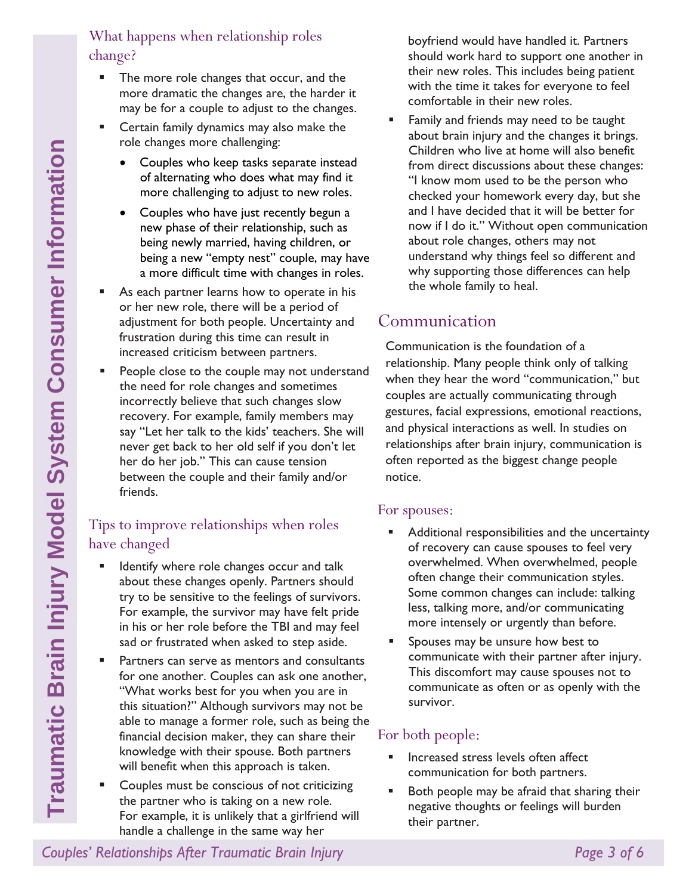- The more role changes that occur, and the more dramatic the changes are, the harder it may be for a couple to adjust to the changes.
- **EXEC** Certain family dynamics may also make the role changes more challenging:
	- Couples who keep tasks separate instead of alternating who does what may find it more challenging to adjust to new roles.
	- Couples who have just recently begun a new phase of their relationship, such as being newly married, having children, or being a new "empty nest" couple, may have a more difficult time with changes in roles.
- **As each partner learns how to operate in his** or her new role, there will be a period of adjustment for both people. Uncertainty and frustration during this time can result in increased criticism between partners.
- **People close to the couple may not understand** the need for role changes and sometimes incorrectly believe that such changes slow recovery. For example, family members may say "Let her talk to the kids' teachers. She will never get back to her old self if you don't let her do her job." This can cause tension between the couple and their family and/or friends.

### Tips to improve relationships when roles have changed

- Identify where role changes occur and talk about these changes openly. Partners should try to be sensitive to the feelings of survivors. For example, the survivor may have felt pride in his or her role before the TBI and may feel sad or frustrated when asked to step aside.
- **Partners can serve as mentors and consultants** for one another. Couples can ask one another, "What works best for you when you are in this situation?" Although survivors may not be able to manage a former role, such as being the financial decision maker, they can share their knowledge with their spouse. Both partners will benefit when this approach is taken.
- Couples must be conscious of not criticizing the partner who is taking on a new role. For example, it is unlikely that a girlfriend will handle a challenge in the same way her

boyfriend would have handled it. Partners should work hard to support one another in their new roles. This includes being patient with the time it takes for everyone to feel comfortable in their new roles.

 Family and friends may need to be taught about brain injury and the changes it brings. Children who live at home will also benefit from direct discussions about these changes: "I know mom used to be the person who checked your homework every day, but she and I have decided that it will be better for now if I do it." Without open communication about role changes, others may not understand why things feel so different and why supporting those differences can help the whole family to heal.

### Communication

Communication is the foundation of a relationship. Many people think only of talking when they hear the word "communication," but couples are actually communicating through gestures, facial expressions, emotional reactions, and physical interactions as well. In studies on relationships after brain injury, communication is often reported as the biggest change people notice.

### For spouses:

- **Additional responsibilities and the uncertainty** of recovery can cause spouses to feel very overwhelmed. When overwhelmed, people often change their communication styles. Some common changes can include: talking less, talking more, and/or communicating more intensely or urgently than before.
- Spouses may be unsure how best to communicate with their partner after injury. This discomfort may cause spouses not to communicate as often or as openly with the survivor.

### For both people:

- Increased stress levels often affect communication for both partners.
- Both people may be afraid that sharing their negative thoughts or feelings will burden their partner.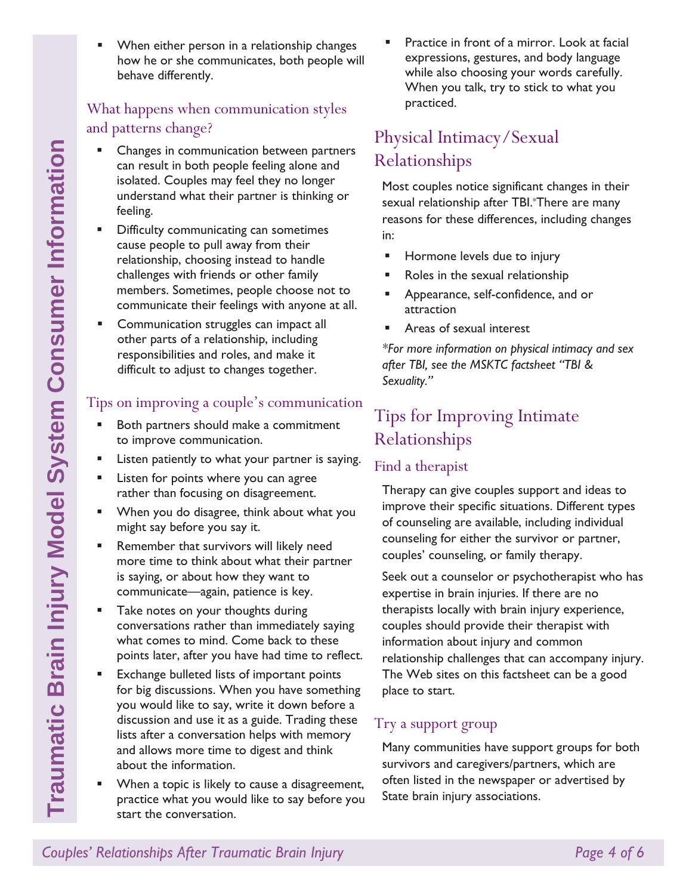When either person in a relationship changes how he or she communicates, both people will behave differently. What happens when communication styles

## and patterns change?

- **EXEC** Changes in communication between partners can result in both people feeling alone and isolated. Couples may feel they no longer understand what their partner is thinking or feeling.
- **•** Difficulty communicating can sometimes cause people to pull away from their relationship, choosing instead to handle challenges with friends or other family members. Sometimes, people choose not to communicate their feelings with anyone at all.
- **EXECOMMUNICATION STARS** Can impact all other parts of a relationship, including responsibilities and roles, and make it difficult to adjust to changes together.

### Tips on improving a couple's communication

- Both partners should make a commitment to improve communication.
- **EXECT:** Listen patiently to what your partner is saying.
- **EXEC** Listen for points where you can agree rather than focusing on disagreement.
- When you do disagree, think about what you might say before you say it.
- **Remember that survivors will likely need** more time to think about what their partner is saying, or about how they want to communicate—again, patience is key.
- **Take notes on your thoughts during** conversations rather than immediately saying what comes to mind. Come back to these points later, after you have had time to reflect.
- **Exchange bulleted lists of important points** for big discussions. When you have something you would like to say, write it down before a discussion and use it as a guide. Trading these lists after a conversation helps with memory and allows more time to digest and think about the information.
- **When a topic is likely to cause a disagreement,** practice what you would like to say before you start the conversation.

 Practice in front of a mirror. Look at facial expressions, gestures, and body language while also choosing your words carefully. When you talk, try to stick to what you practiced.

### Physical Intimacy/Sexual Relationships

Most couples notice significant changes in their sexual relationship after TBI.\*There are many reasons for these differences, including changes in:

- Hormone levels due to injury
- Roles in the sexual relationship
- **Appearance, self-confidence, and or** attraction
- Areas of sexual interest

*\*For more information on physical intimacy and sex after TBI, see the MSKTC factsheet "TBI & Sexuality."*

### Tips for Improving Intimate Relationships

### Find a therapist

Therapy can give couples support and ideas to improve their specific situations. Different types of counseling are available, including individual counseling for either the survivor or partner, couples' counseling, or family therapy.

Seek out a counselor or psychotherapist who has expertise in brain injuries. If there are no therapists locally with brain injury experience, couples should provide their therapist with information about injury and common relationship challenges that can accompany injury. The Web sites on this factsheet can be a good place to start.

### Try a support group

Many communities have support groups for both survivors and caregivers/partners, which are often listed in the newspaper or advertised by State brain injury associations.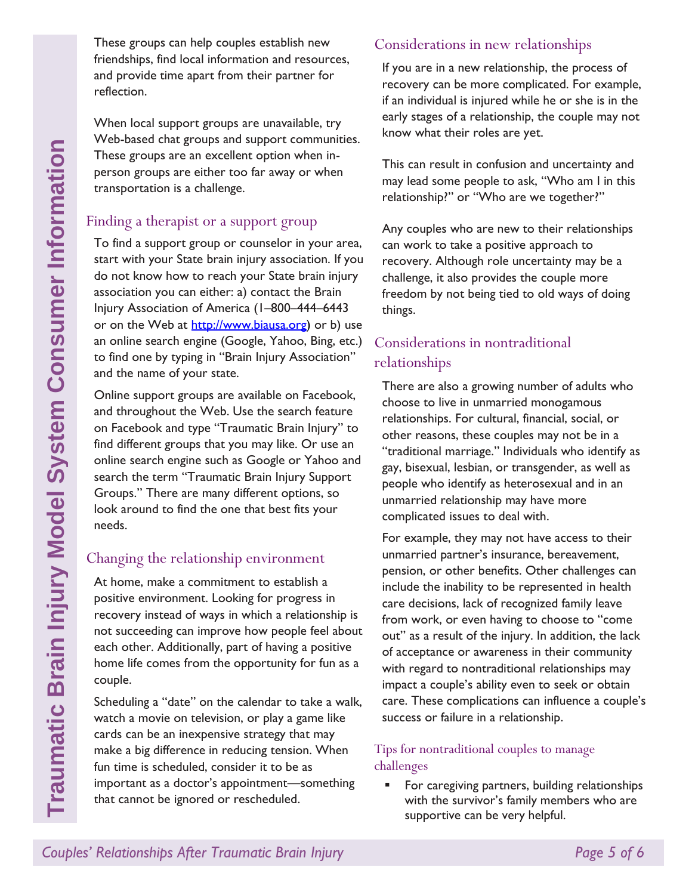These groups can help couples establish new friendships, find local information and resources, and provide time apart from their partner for reflection.

When local support groups are unavailable, try Web-based chat groups and support communities. These groups are an excellent option when inperson groups are either too far away or when transportation is a challenge.

### Finding a therapist or a support group

To find a support group or counselor in your area, start with your State brain injury association. If you do not know how to reach your State brain injury association you can either: a) contact the Brain Injury Association of America (1–800–444–6443 or on the Web at [http://www.biausa.org\)](http://www.biausa.org/) or b) use an online search engine (Google, Yahoo, Bing, etc.) to find one by typing in "Brain Injury Association" and the name of your state.

Online support groups are available on Facebook, and throughout the Web. Use the search feature on Facebook and type "Traumatic Brain Injury" to find different groups that you may like. Or use an online search engine such as Google or Yahoo and search the term "Traumatic Brain Injury Support Groups." There are many different options, so look around to find the one that best fits your needs.

### Changing the relationship environment

At home, make a commitment to establish a positive environment. Looking for progress in recovery instead of ways in which a relationship is not succeeding can improve how people feel about each other. Additionally, part of having a positive home life comes from the opportunity for fun as a couple.

Scheduling a "date" on the calendar to take a walk, watch a movie on television, or play a game like cards can be an inexpensive strategy that may make a big difference in reducing tension. When fun time is scheduled, consider it to be as important as a doctor's appointment—something that cannot be ignored or rescheduled.

### Considerations in new relationships

If you are in a new relationship, the process of recovery can be more complicated. For example, if an individual is injured while he or she is in the early stages of a relationship, the couple may not know what their roles are yet.

This can result in confusion and uncertainty and may lead some people to ask, "Who am I in this relationship?" or "Who are we together?"

Any couples who are new to their relationships can work to take a positive approach to recovery. Although role uncertainty may be a challenge, it also provides the couple more freedom by not being tied to old ways of doing things.

### Considerations in nontraditional relationships

There are also a growing number of adults who choose to live in unmarried monogamous relationships. For cultural, financial, social, or other reasons, these couples may not be in a "traditional marriage." Individuals who identify as gay, bisexual, lesbian, or transgender, as well as people who identify as heterosexual and in an unmarried relationship may have more complicated issues to deal with.

For example, they may not have access to their unmarried partner's insurance, bereavement, pension, or other benefits. Other challenges can include the inability to be represented in health care decisions, lack of recognized family leave from work, or even having to choose to "come out" as a result of the injury. In addition, the lack of acceptance or awareness in their community with regard to nontraditional relationships may impact a couple's ability even to seek or obtain care. These complications can influence a couple's success or failure in a relationship.

### Tips for nontraditional couples to manage challenges

**For caregiving partners, building relationships** with the survivor's family members who are supportive can be very helpful.